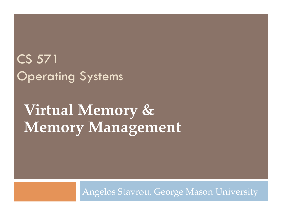# CS 571 Operating Systems

# **Virtual Memory & Memory Management**

Angelos Stavrou, George Mason University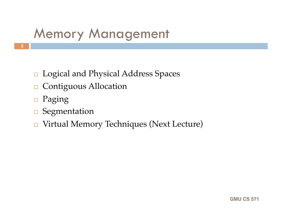# Memory Management

- Logical and Physical Address Spaces
- **□** Contiguous Allocation
- □ Paging
- □ Segmentation
- Virtual Memory Techniques (Next Lecture)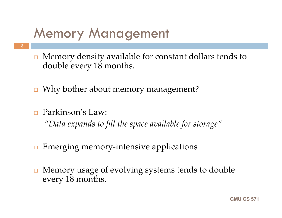# Memory Management

- $\Box$  Memory density available for constant dollars tends to double every 18 months.
- $\Box$  Why bother about memory management?
- Parkinson's Law:

 **3**

*"Data expands to fill the space available for storage"*

- $\Box$  Emerging memory-intensive applications
- **□** Memory usage of evolving systems tends to double every 18 months.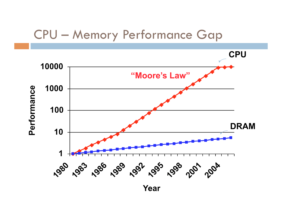#### CPU – Memory Performance Gap

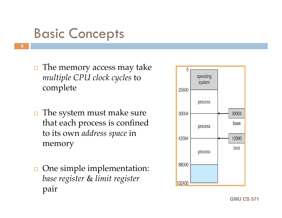# Basic Concepts

- **5**
- $\Box$  The memory access may take *multiple CPU clock cycles* to complete
- $\Box$  The system must make sure that each process is confined to its own *address space* in memory
- **□** One simple implementation: *base register* & *limit register*  pair

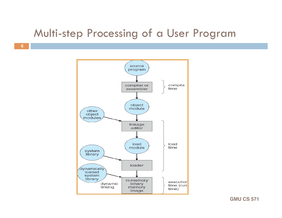#### Multi-step Processing of a User Program

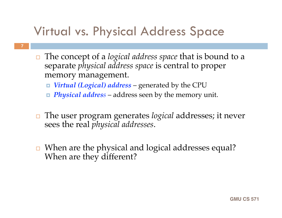## Virtual vs. Physical Address Space

- The concept of a *logical address space* that is bound to a separate *physical address space* is central to proper memory management.
	- *Virtual (Logical) address* generated by the CPU
	- *Physical address* address seen by the memory unit.
- The user program generates *logical* addresses; it never sees the real *physical addresses*.
- □ When are the physical and logical addresses equal? When are they different?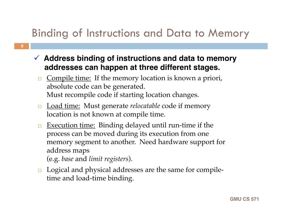#### Binding of Instructions and Data to Memory

- **Address binding of instructions and data to memory addresses can happen at three different stages.**
	- Compile time: If the memory location is known a priori, absolute code can be generated. Must recompile code if starting location changes.
	- Load time: Must generate *relocatable* code if memory location is not known at compile time.
	- **Execution time:** Binding delayed until run-time if the process can be moved during its execution from one memory segment to another. Need hardware support for address maps (e.g. *base* and *limit registers*).
	- □ Logical and physical addresses are the same for compiletime and load-time binding.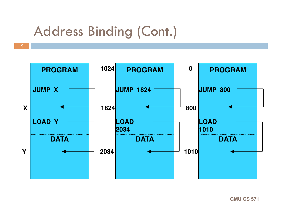# Address Binding (Cont.)

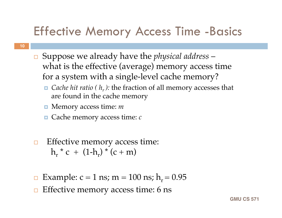## Effective Memory Access Time -Basics

- Suppose we already have the *physical address* what is the effective (average) memory access time for a system with a single-level cache memory?
	- *Cache hit ratio (*  $h_r$  *):* the fraction of all memory accesses that are found in the cache memory
	- Memory access time: *m*
	- Cache memory access time: *c*
- *<u>Effective</u>* memory access time:  $h_r$  \* c +  $(1-h_r)$  \* (c + m)
- Example:  $c = 1$  ns;  $m = 100$  ns;  $h_r = 0.95$
- Effective memory access time: 6 ns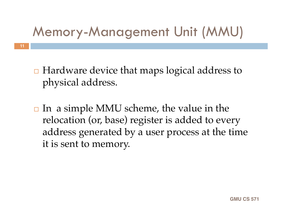# Memory-Management Unit (MMU)

 **11**

 $\Box$  Hardware device that maps logical address to physical address.

 $\Box$  In a simple MMU scheme, the value in the relocation (or, base) register is added to every address generated by a user process at the time it is sent to memory.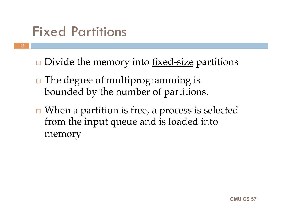# Fixed Partitions

- $\Box$  Divide the memory into <u>fixed-size</u> partitions
	- $\Box$  The degree of multiprogramming is bounded by the number of partitions.
	- $\Box$  When a partition is free, a process is selected from the input queue and is loaded into memory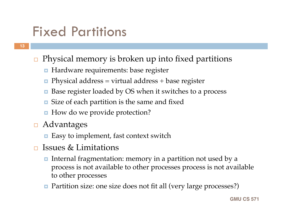# Fixed Partitions

- $\Box$  Physical memory is broken up into fixed partitions
	- **Hardware requirements: base register**
	- **Physical address** = virtual address + base register
	- Base register loaded by OS when it switches to a process
	- **E** Size of each partition is the same and fixed
	- How do we provide protection?
- **□** Advantages
	- Easy to implement, fast context switch
- $\Box$  Issues & Limitations
	- Internal fragmentation: memory in a partition not used by a process is not available to other processes process is not available to other processes
	- Partition size: one size does not fit all (very large processes?)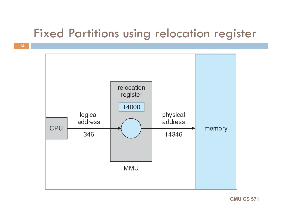#### Fixed Partitions using relocation register

 **14**

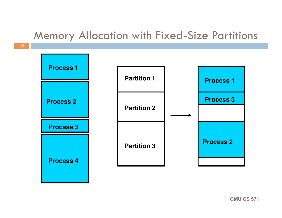#### Memory Allocation with Fixed-Size Partitions

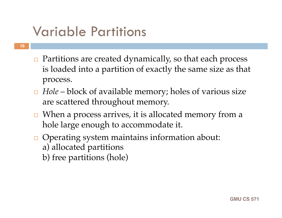# Variable Partitions

- $\Box$  Partitions are created dynamically, so that each process is loaded into a partition of exactly the same size as that process.
- *Hole* block of available memory; holes of various size are scattered throughout memory.
- $\Box$  When a process arrives, it is allocated memory from a hole large enough to accommodate it.
- $\Box$  Operating system maintains information about: a) allocated partitions
	- b) free partitions (hole)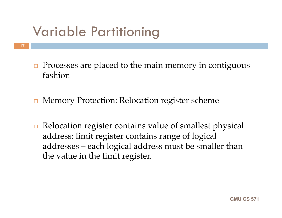# Variable Partitioning

- Processes are placed to the main memory in contiguous fashion
- **□ Memory Protection: Relocation register scheme**
- $\Box$  Relocation register contains value of smallest physical address; limit register contains range of logical addresses – each logical address must be smaller than the value in the limit register.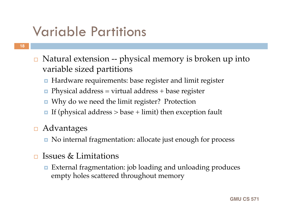# Variable Partitions

- Natural extension -- physical memory is broken up into variable sized partitions
	- Hardware requirements: base register and limit register
	- **Physical address** = virtual address + base register
	- Why do we need the limit register? Protection
	- If (physical address  $>$  base + limit) then exception fault
- **□** Advantages
	- No internal fragmentation: allocate just enough for process
- $\Box$  Issues & Limitations
	- External fragmentation: job loading and unloading produces empty holes scattered throughout memory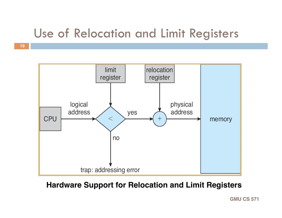#### Use of Relocation and Limit Registers



#### **Hardware Support for Relocation and Limit Registers**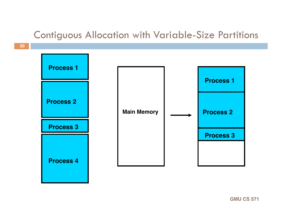#### Contiguous Allocation with Variable-Size Partitions

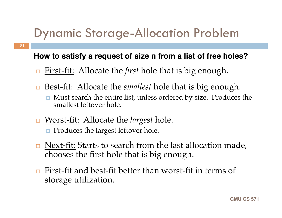## Dynamic Storage-Allocation Problem

#### **How to satisfy a request of size n from a list of free holes?**

- First-fit: Allocate the *first* hole that is big enough.
- Best-fit: Allocate the *smallest* hole that is big enough.
	- **n** Must search the entire list, unless ordered by size. Produces the smallest leftover hole.
- Worst-fit: Allocate the *largest* hole.
	- **Produces the largest leftover hole.**

- $\Box$  Next-fit: Starts to search from the last allocation made, chooses the first hole that is big enough.
- $\Box$  First-fit and best-fit better than worst-fit in terms of storage utilization.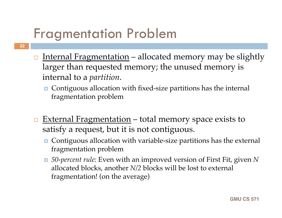# Fragmentation Problem

- <u>Internal Fragmentation</u> allocated memory may be slightly larger than requested memory; the unused memory is internal to a *partition*.
	- Contiguous allocation with fixed-size partitions has the internal fragmentation problem
	- External Fragmentation total memory space exists to satisfy a request, but it is not contiguous.
		- Contiguous allocation with variable-size partitions has the external fragmentation problem
		- *50-percent rule:* Even with an improved version of First Fit, given *N*  allocated blocks, another *N/2* blocks will be lost to external fragmentation! (on the average)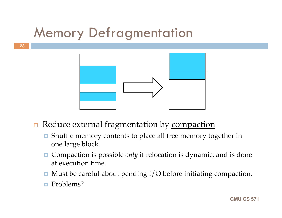# Memory Defragmentation



- $\Box$  Reduce external fragmentation by compaction
	- Shuffle memory contents to place all free memory together in one large block.
	- Compaction is possible *only* if relocation is dynamic, and is done at execution time.
	- $\blacksquare$  Must be careful about pending I/O before initiating compaction.
	- **Problems?**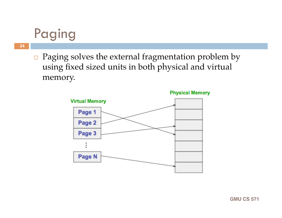# Paging

- **24**
- $\Box$  Paging solves the external fragmentation problem by using fixed sized units in both physical and virtual memory.



**Physical Memory**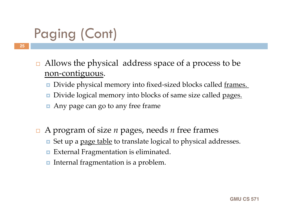# Paging (Cont)

- **25**
- $\Box$  Allows the physical address space of a process to be non-contiguous.
	- Divide physical memory into fixed-sized blocks called frames.
	- Divide logical memory into blocks of same size called pages.
	- Any page can go to any free frame
- A program of size *n* pages, needs *n* free frames
	- **E** Set up a page table to translate logical to physical addresses.
	- **External Fragmentation is eliminated.**
	- Internal fragmentation is a problem.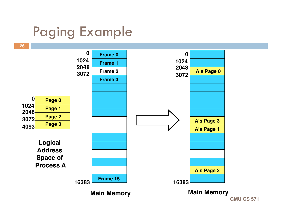# Paging Example

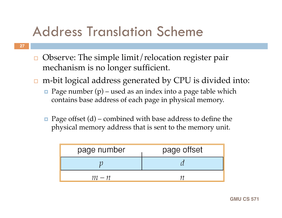# Address Translation Scheme

- $\Box$  Observe: The simple limit/relocation register pair mechanism is no longer sufficient.
- $\Box$  m-bit logical address generated by CPU is divided into:
	- **Page number (p)** used as an index into a page table which contains base address of each page in physical memory.
	- **Page offset (d) combined with base address to define the** physical memory address that is sent to the memory unit.

| page number | page offset |
|-------------|-------------|
|             |             |
| $m - n$     |             |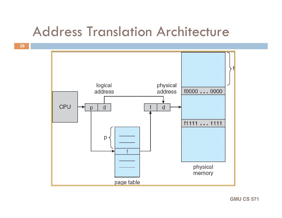## Address Translation Architecture



 **28**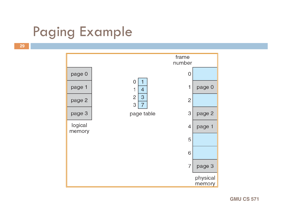# Paging Example

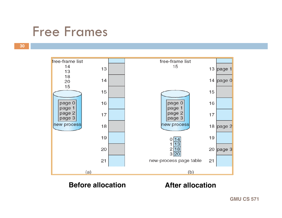## Free Frames



#### **Before allocation After allocation**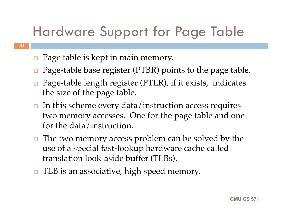# Hardware Support for Page Table

 $\Box$  Page table is kept in main memory.

- $\Box$  Page-table base register (PTBR) points to the page table.
- $\Box$  Page-table length register (PTLR), if it exists, indicates the size of the page table.
- $\Box$  In this scheme every data/instruction access requires two memory accesses. One for the page table and one for the data/instruction.
- $\Box$  The two memory access problem can be solved by the use of a special fast-lookup hardware cache called translation look-aside buffer (TLBs).
- $\Box$  TLB is an associative, high speed memory.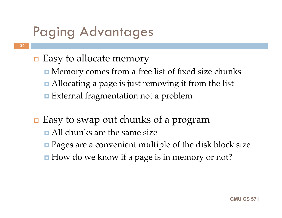# Paging Advantages

- $\Box$  Easy to allocate memory
	- **I** Memory comes from a free list of fixed size chunks
	- Allocating a page is just removing it from the list
	- **External fragmentation not a problem**
- $\Box$  Easy to swap out chunks of a program
	- All chunks are the same size
	- **Pages are a convenient multiple of the disk block size**
	- How do we know if a page is in memory or not?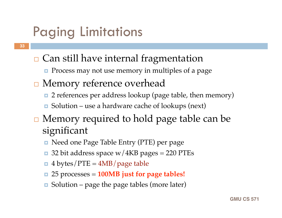# Paging Limitations

- $\Box$  Can still have internal fragmentation
	- **Process may not use memory in multiples of a page**
- **□** Memory reference overhead
	- 2 references per address lookup (page table, then memory)
	- Solution use a hardware cache of lookups (next)
- $\Box$  Memory required to hold page table can be significant
	- Need one Page Table Entry (PTE) per page
	- $\Box$  32 bit address space w/4KB pages = 220 PTEs
	- $\blacksquare$  4 bytes/PTE = 4MB/page table
	- 25 processes = **100MB just for page tables!**
	- Solution page the page tables (more later)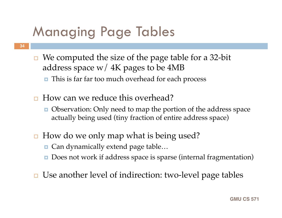# Managing Page Tables

- $\Box$  We computed the size of the page table for a 32-bit address space  $w/4K$  pages to be 4MB
	- **n** This is far far too much overhead for each process
- □ How can we reduce this overhead?
	- **Observation:** Only need to map the portion of the address space actually being used (tiny fraction of entire address space)
- $\Box$  How do we only map what is being used?
	- Can dynamically extend page table...
	- Does not work if address space is sparse (internal fragmentation)
- **□** Use another level of indirection: two-level page tables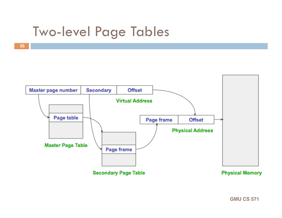# Two-level Page Tables

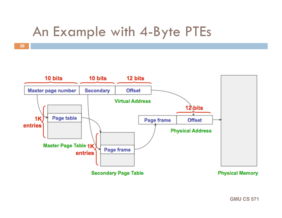# An Example with 4-Byte PTEs

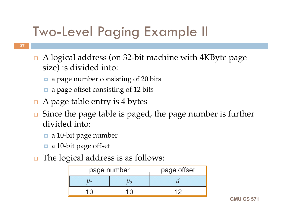# Two-Level Paging Example II

- A logical address (on 32-bit machine with 4KByte page size) is divided into:
	- a page number consisting of 20 bits
	- a page offset consisting of 12 bits
- $\Box$  A page table entry is 4 bytes
- $\Box$  Since the page table is paged, the page number is further divided into:
	- a 10-bit page number
	- a 10-bit page offset
- $\Box$  The logical address is as follows:

| page number | page offset |
|-------------|-------------|
|             |             |
|             |             |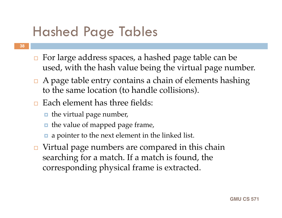# Hashed Page Tables

- **□** For large address spaces, a hashed page table can be used, with the hash value being the virtual page number.
- $\Box$  A page table entry contains a chain of elements hashing to the same location (to handle collisions).
- $\Box$  Each element has three fields:
	- $\blacksquare$  the virtual page number,
	- $\blacksquare$  the value of mapped page frame,
	- **a** a pointer to the next element in the linked list.
- $\Box$  Virtual page numbers are compared in this chain searching for a match. If a match is found, the corresponding physical frame is extracted.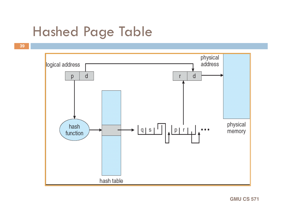# Hashed Page Table

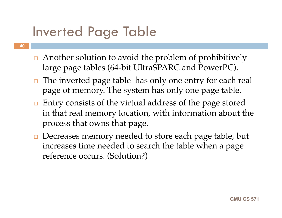# Inverted Page Table

- Another solution to avoid the problem of prohibitively large page tables (64-bit UltraSPARC and PowerPC).
- $\Box$  The inverted page table has only one entry for each real page of memory. The system has only one page table.
- $\Box$  Entry consists of the virtual address of the page stored in that real memory location, with information about the process that owns that page.
- **□** Decreases memory needed to store each page table, but increases time needed to search the table when a page reference occurs. (Solution?)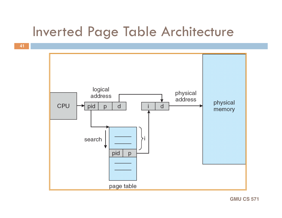# Inverted Page Table Architecture

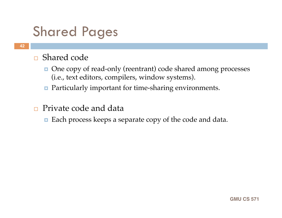# Shared Pages

#### ■ Shared code

- One copy of read-only (reentrant) code shared among processes (i.e., text editors, compilers, window systems).
- **Particularly important for time-sharing environments.**
- □ Private code and data
	- **Each process keeps a separate copy of the code and data.**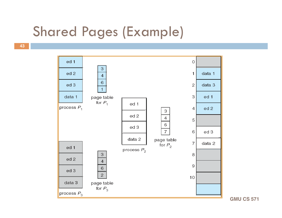# Shared Pages (Example)

 **43**

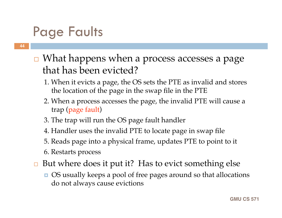# Page Faults

- □ What happens when a process accesses a page that has been evicted?
	- 1. When it evicts a page, the OS sets the PTE as invalid and stores the location of the page in the swap file in the PTE
	- 2. When a process accesses the page, the invalid PTE will cause a trap (page fault)
	- 3. The trap will run the OS page fault handler
	- 4. Handler uses the invalid PTE to locate page in swap file
	- 5. Reads page into a physical frame, updates PTE to point to it
	- 6. Restarts process
- $\Box$  But where does it put it? Has to evict something else
	- OS usually keeps a pool of free pages around so that allocations do not always cause evictions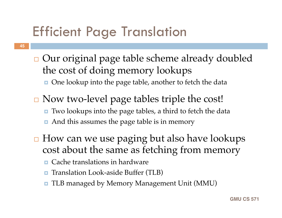# Efficient Page Translation

- □ Our original page table scheme already doubled the cost of doing memory lookups
	- One lookup into the page table, another to fetch the data
- **□ Now two-level page tables triple the cost!** ■ Two lookups into the page tables, a third to fetch the data And this assumes the page table is in memory
- $\Box$  How can we use paging but also have lookups cost about the same as fetching from memory
	- Cache translations in hardware
	- Translation Look-aside Buffer (TLB)
	- TLB managed by Memory Management Unit (MMU)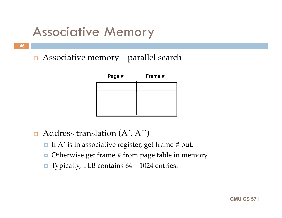# Associative Memory

 **46**

 $\Box$  Associative memory – parallel search



- $\Box$  Address translation  $(A', A'')$ 
	- If  $A'$  is in associative register, get frame # out.
	- $\Box$  Otherwise get frame # from page table in memory
	- **Typically, TLB contains**  $64 1024$  **entries.**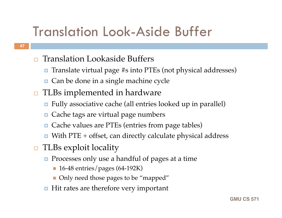# Translation Look-Aside Buffer

#### **□** Translation Lookaside Buffers

- Translate virtual page #s into PTEs (not physical addresses)
- Can be done in a single machine cycle
- $\Box$  TLBs implemented in hardware
	- Fully associative cache (all entries looked up in parallel)
	- Cache tags are virtual page numbers
	- Cache values are PTEs (entries from page tables)
	- $\blacksquare$  With PTE + offset, can directly calculate physical address
- **□** TLBs exploit locality
	- **Processes only use a handful of pages at a time** 
		- **16-48 entries/pages (64-192K)**
		- Only need those pages to be "mapped"
	- $\blacksquare$  Hit rates are therefore very important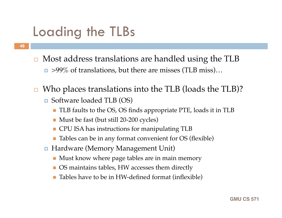# Loading the TLBs

- Most address translations are handled using the TLB
	- $\Box$  >99% of translations, but there are misses (TLB miss)...
- $\Box$  Who places translations into the TLB (loads the TLB)?
	- Software loaded TLB (OS)
		- TLB faults to the OS, OS finds appropriate PTE, loads it in TLB
		- Must be fast (but still 20-200 cycles)
		- **CPU ISA has instructions for manipulating TLB**
		- Tables can be in any format convenient for OS (flexible)
	- Hardware (Memory Management Unit)
		- **Must know where page tables are in main memory**
		- OS maintains tables, HW accesses them directly
		- Tables have to be in HW-defined format (inflexible)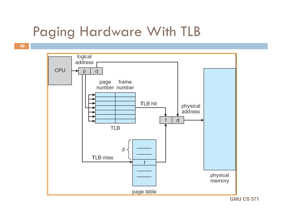# Paging Hardware With TLB

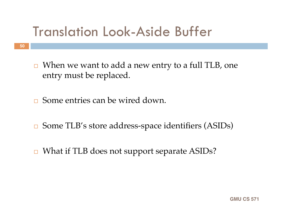# Translation Look-Aside Buffer

- $\Box$  When we want to add a new entry to a full TLB, one entry must be replaced.
- **□** Some entries can be wired down.
- Some TLB's store address-space identifiers (ASIDs)
- What if TLB does not support separate ASIDs?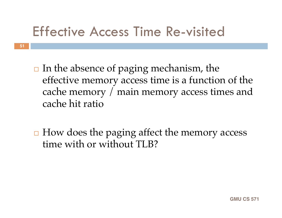# Effective Access Time Re-visited

- $\Box$  In the absence of paging mechanism, the effective memory access time is a function of the cache memory / main memory access times and cache hit ratio
- $\Box$  How does the paging affect the memory access time with or without TLB?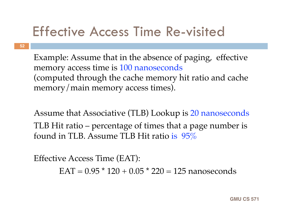# Effective Access Time Re-visited

Example: Assume that in the absence of paging, effective memory access time is 100 nanoseconds (computed through the cache memory hit ratio and cache memory/main memory access times).

Assume that Associative (TLB) Lookup is 20 nanoseconds TLB Hit ratio – percentage of times that a page number is found in TLB. Assume TLB Hit ratio is 95%

Effective Access Time (EAT):  $EAT = 0.95 * 120 + 0.05 * 220 = 125$  nanoseconds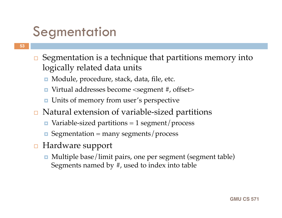# **Segmentation**

- $\Box$  Segmentation is a technique that partitions memory into logically related data units
	- Module, procedure, stack, data, file, etc.
	- Virtual addresses become <segment #, offset>
	- **<u>D</u>** Units of memory from user's perspective
- **□** Natural extension of variable-sized partitions
	- Variable-sized partitions = 1 segment/process
	- $\blacksquare$  Segmentation = many segments/process
- **□** Hardware support
	- Multiple base/limit pairs, one per segment (segment table) Segments named by #, used to index into table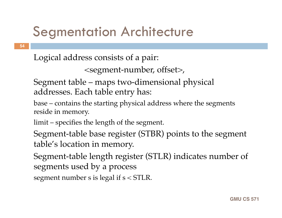# Segmentation Architecture

Logical address consists of a pair:

```

<segment-number, offset>,
```
Segment table – maps two-dimensional physical addresses. Each table entry has:

base – contains the starting physical address where the segments reside in memory.

limit – specifies the length of the segment.

Segment-table base register (STBR) points to the segment table's location in memory.

Segment-table length register (STLR) indicates number of segments used by a process

segment number s is legal if s < STLR.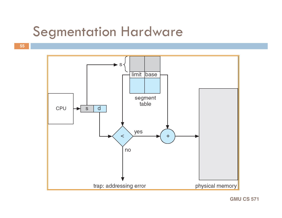## Segmentation Hardware

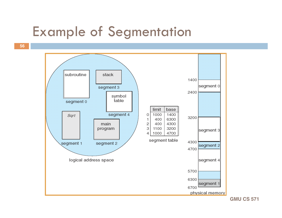## Example of Segmentation

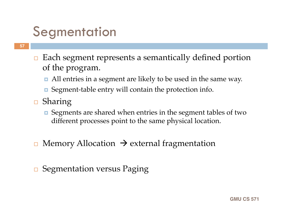# **Segmentation**

- $\Box$  Each segment represents a semantically defined portion of the program.
	- All entries in a segment are likely to be used in the same way.
	- Segment-table entry will contain the protection info.
- $\Box$  Sharing
	- Segments are shared when entries in the segment tables of two different processes point to the same physical location.
- Memory Allocation  $\rightarrow$  external fragmentation
- **□** Segmentation versus Paging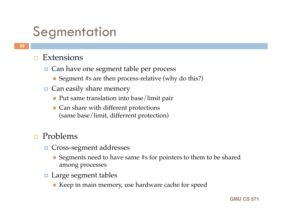# **Segmentation**

#### $\Box$  Extensions

- Can have one segment table per process
	- Segment #s are then process-relative (why do this?)
- **O** Can easily share memory
	- **Put same translation into base/limit pair**
	- Can share with different protections (same base/limit, differrent protection)

#### Problems

- **n** Cross-segment addresses
	- Segments need to have same #s for pointers to them to be shared among processes
- **Large segment tables** 
	- Keep in main memory, use hardware cache for speed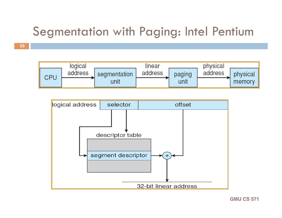## Segmentation with Paging: Intel Pentium



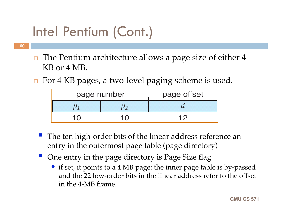# Intel Pentium (Cont.)

- **60**
- $\Box$  The Pentium architecture allows a page size of either 4 KB or 4 MB.
- $\Box$  For 4 KB pages, a two-level paging scheme is used.

| page number | page offset |
|-------------|-------------|
|             |             |
| $1 \cap$    | 1 Q         |

- The ten high-order bits of the linear address reference an entry in the outermost page table (page directory)
- One entry in the page directory is Page Size flag
	- if set, it points to a 4 MB page: the inner page table is by-passed and the 22 low-order bits in the linear address refer to the offset in the 4-MB frame.